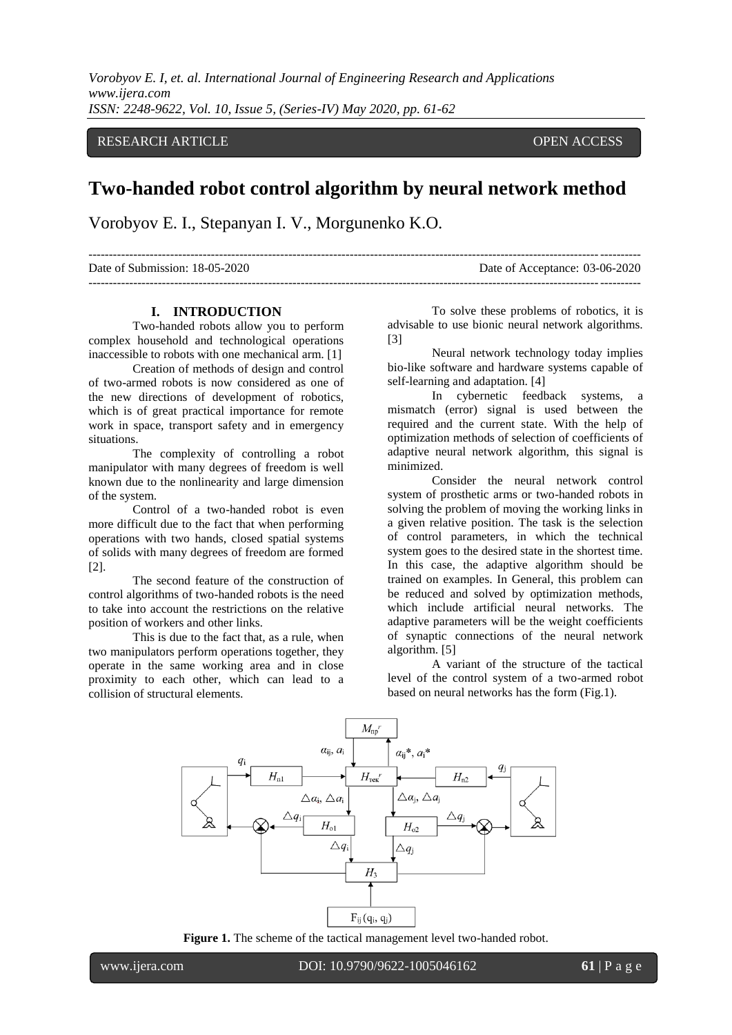*Vorobyov E. I, et. al. International Journal of Engineering Research and Applications www.ijera.com ISSN: 2248-9622, Vol. 10, Issue 5, (Series-IV) May 2020, pp. 61-62*

## RESEARCH ARTICLE OPEN ACCESS

## **Two-handed robot control algorithm by neural network method**

Vorobyov E. I., Stepanyan I. V., Morgunenko K.O.

| Date of Submission: 18-05-2020 | Date of Acceptance: 03-06-2020 |
|--------------------------------|--------------------------------|
|                                |                                |

## **I. INTRODUCTION**

Two-handed robots allow you to perform complex household and technological operations inaccessible to robots with one mechanical arm. [1]

Creation of methods of design and control of two-armed robots is now considered as one of the new directions of development of robotics, which is of great practical importance for remote work in space, transport safety and in emergency situations.

The complexity of controlling a robot manipulator with many degrees of freedom is well known due to the nonlinearity and large dimension of the system.

Control of a two-handed robot is even more difficult due to the fact that when performing operations with two hands, closed spatial systems of solids with many degrees of freedom are formed [2].

The second feature of the construction of control algorithms of two-handed robots is the need to take into account the restrictions on the relative position of workers and other links.

This is due to the fact that, as a rule, when two manipulators perform operations together, they operate in the same working area and in close proximity to each other, which can lead to a collision of structural elements.

To solve these problems of robotics, it is advisable to use bionic neural network algorithms. [3]

Neural network technology today implies bio-like software and hardware systems capable of self-learning and adaptation. [4]

In cybernetic feedback systems, a mismatch (error) signal is used between the required and the current state. With the help of optimization methods of selection of coefficients of adaptive neural network algorithm, this signal is minimized.

Consider the neural network control system of prosthetic arms or two-handed robots in solving the problem of moving the working links in a given relative position. The task is the selection of control parameters, in which the technical system goes to the desired state in the shortest time. In this case, the adaptive algorithm should be trained on examples. In General, this problem can be reduced and solved by optimization methods, which include artificial neural networks. The adaptive parameters will be the weight coefficients of synaptic connections of the neural network algorithm. [5]

A variant of the structure of the tactical level of the control system of a two-armed robot based on neural networks has the form (Fig.1).



**Figure 1.** The scheme of the tactical management level two-handed robot.